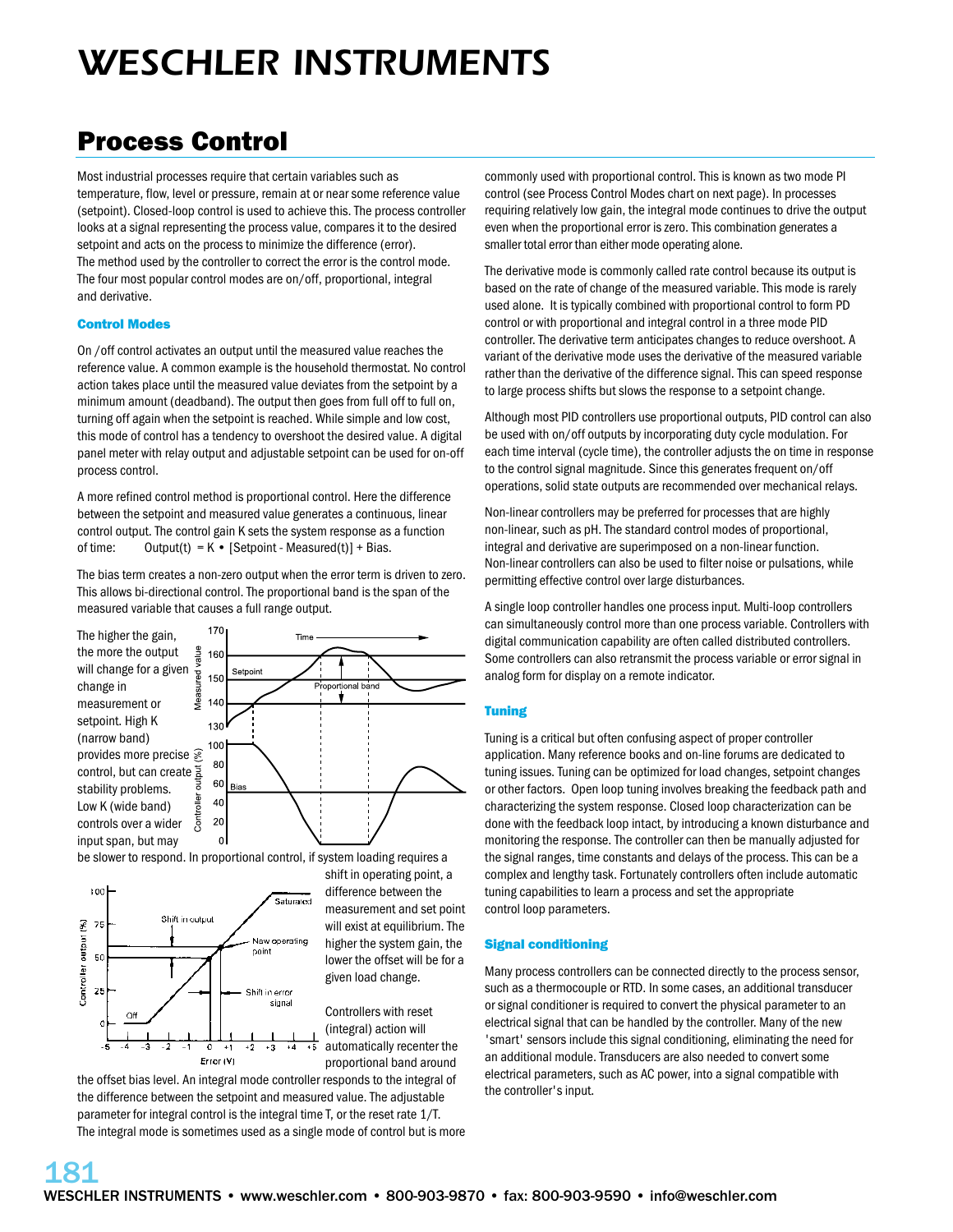# *WESCHLER INSTRUMENTS*

### Process Control

Most industrial processes require that certain variables such as temperature, flow, level or pressure, remain at or near some reference value (setpoint). Closed-loop control is used to achieve this. The process controller looks at a signal representing the process value, compares it to the desired setpoint and acts on the process to minimize the difference (error). The method used by the controller to correct the error is the control mode. The four most popular control modes are on/off, proportional, integral and derivative.

#### Control Modes

On /off control activates an output until the measured value reaches the reference value. A common example is the household thermostat. No control action takes place until the measured value deviates from the setpoint by a minimum amount (deadband). The output then goes from full off to full on, turning off again when the setpoint is reached. While simple and low cost, this mode of control has a tendency to overshoot the desired value. A digital panel meter with relay output and adjustable setpoint can be used for on-off process control.

A more refined control method is proportional control. Here the difference between the setpoint and measured value generates a continuous, linear control output. The control gain K sets the system response as a function of time: Output(t) =  $K \cdot$  [Setpoint - Measured(t)] + Bias.

The bias term creates a non-zero output when the error term is driven to zero. This allows bi-directional control. The proportional band is the span of the measured variable that causes a full range output.



be slower to respond. In proportional control, if system loading requires a



**181**

shift in operating point, a difference between the measurement and set point will exist at equilibrium. The higher the system gain, the lower the offset will be for a given load change.

Controllers with reset (integral) action will automatically recenter the proportional band around

the offset bias level. An integral mode controller responds to the integral of the difference between the setpoint and measured value. The adjustable parameter for integral control is the integral time T, or the reset rate 1/T. The integral mode is sometimes used as a single mode of control but is more

commonly used with proportional control. This is known as two mode PI control (see Process Control Modes chart on next page). In processes requiring relatively low gain, the integral mode continues to drive the output even when the proportional error is zero. This combination generates a smaller total error than either mode operating alone.

The derivative mode is commonly called rate control because its output is based on the rate of change of the measured variable. This mode is rarely used alone. It is typically combined with proportional control to form PD control or with proportional and integral control in a three mode PID controller. The derivative term anticipates changes to reduce overshoot. A variant of the derivative mode uses the derivative of the measured variable rather than the derivative of the difference signal. This can speed response to large process shifts but slows the response to a setpoint change.

Although most PID controllers use proportional outputs, PID control can also be used with on/off outputs by incorporating duty cycle modulation. For each time interval (cycle time), the controller adjusts the on time in response to the control signal magnitude. Since this generates frequent on/off operations, solid state outputs are recommended over mechanical relays.

Non-linear controllers may be preferred for processes that are highly non-linear, such as pH. The standard control modes of proportional, integral and derivative are superimposed on a non-linear function. Non-linear controllers can also be used to filter noise or pulsations, while permitting effective control over large disturbances.

A single loop controller handles one process input. Multi-loop controllers can simultaneously control more than one process variable. Controllers with digital communication capability are often called distributed controllers. Some controllers can also retransmit the process variable or error signal in analog form for display on a remote indicator.

#### Tuning

Tuning is a critical but often confusing aspect of proper controller application. Many reference books and on-line forums are dedicated to tuning issues. Tuning can be optimized for load changes, setpoint changes or other factors. Open loop tuning involves breaking the feedback path and characterizing the system response. Closed loop characterization can be done with the feedback loop intact, by introducing a known disturbance and monitoring the response. The controller can then be manually adjusted for the signal ranges, time constants and delays of the process. This can be a complex and lengthy task. Fortunately controllers often include automatic tuning capabilities to learn a process and set the appropriate control loop parameters.

#### Signal conditioning

Many process controllers can be connected directly to the process sensor, such as a thermocouple or RTD. In some cases, an additional transducer or signal conditioner is required to convert the physical parameter to an electrical signal that can be handled by the controller. Many of the new 'smart' sensors include this signal conditioning, eliminating the need for an additional module. Transducers are also needed to convert some electrical parameters, such as AC power, into a signal compatible with the controller's input.